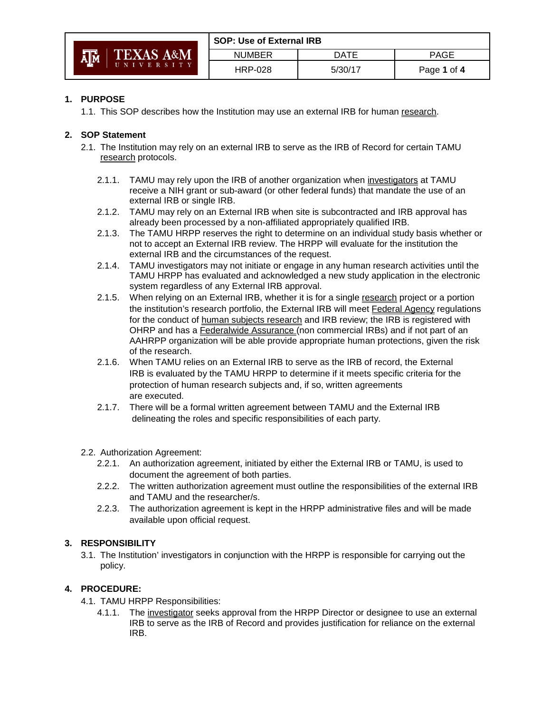|                             | <b>SOP: Use of External IRB</b> |         |             |
|-----------------------------|---------------------------------|---------|-------------|
| <b>TEXAS A&amp;M</b><br>Ā∥Ā | <b>NUMBER</b>                   | DATE    | <b>PAGE</b> |
| UNIVERSITY                  | <b>HRP-028</b>                  | 5/30/17 | Page 1 of 4 |

## **1. PURPOSE**

1.1. This SOP describes how the Institution may use an external IRB for human research.

### **2. SOP Statement**

- 2.1. The Institution may rely on an external IRB to serve as the IRB of Record for certain TAMU research protocols.
	- 2.1.1. TAMU may rely upon the IRB of another organization when investigators at TAMU receive a NIH grant or sub-award (or other federal funds) that mandate the use of an external IRB or single IRB.
	- 2.1.2. TAMU may rely on an External IRB when site is subcontracted and IRB approval has already been processed by a non-affiliated appropriately qualified IRB.
	- 2.1.3. The TAMU HRPP reserves the right to determine on an individual study basis whether or not to accept an External IRB review. The HRPP will evaluate for the institution the external IRB and the circumstances of the request.
	- 2.1.4. TAMU investigators may not initiate or engage in any human research activities until the TAMU HRPP has evaluated and acknowledged a new study application in the electronic system regardless of any External IRB approval.
	- 2.1.5. When relying on an External IRB, whether it is for a single research project or a portion the institution's research portfolio, the External IRB will meet Federal Agency regulations for the conduct of human subjects research and IRB review; the IRB is registered with OHRP and has a **Federalwide Assurance** (non commercial IRBs) and if not part of an AAHRPP organization will be able provide appropriate human protections, given the risk of the research.
	- 2.1.6. When TAMU relies on an External IRB to serve as the IRB of record, the External IRB is evaluated by the TAMU HRPP to determine if it meets specific criteria for the protection of human research subjects and, if so, written agreements are executed.
	- 2.1.7. There will be a formal written agreement between TAMU and the External IRB delineating the roles and specific responsibilities of each party.

#### 2.2. Authorization Agreement:

- 2.2.1. An authorization agreement, initiated by either the External IRB or TAMU, is used to document the agreement of both parties.
- 2.2.2. The written authorization agreement must outline the responsibilities of the external IRB and TAMU and the researcher/s.
- 2.2.3. The authorization agreement is kept in the HRPP administrative files and will be made available upon official request.

#### **3. RESPONSIBILITY**

3.1. The Institution' investigators in conjunction with the HRPP is responsible for carrying out the policy.

# **4. PROCEDURE:**

- 4.1. TAMU HRPP Responsibilities:
	- 4.1.1. The investigator seeks approval from the HRPP Director or designee to use an external IRB to serve as the IRB of Record and provides justification for reliance on the external IRB.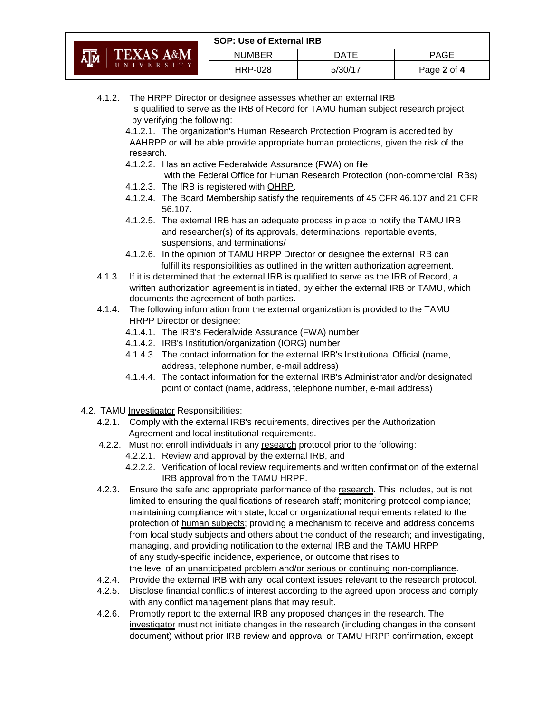|                       |                      | <b>SOP: Use of External IRB</b> |             |             |
|-----------------------|----------------------|---------------------------------|-------------|-------------|
| <b>A</b> <sub>M</sub> | <b>TEXAS A&amp;M</b> | <b>NUMBER</b>                   | DATE        | <b>PAGE</b> |
| UNIVERSITY            | <b>HRP-028</b>       | 5/30/17                         | Page 2 of 4 |             |

4.1.2. The HRPP Director or designee assesses whether an external IRB is qualified to serve as the IRB of Record for TAMU human subject research project by verifying the following:

4.1.2.1. The organization's Human Research Protection Program is accredited by AAHRPP or will be able provide appropriate human protections, given the risk of the research.

- 4.1.2.2. Has an active Federalwide Assurance (FWA) on file with the Federal Office for Human Research Protection (non-commercial IRBs)
- 4.1.2.3. The IRB is registered with OHRP.
- 4.1.2.4. The Board Membership satisfy the requirements of 45 CFR 46.107 and 21 CFR 56.107.
- 4.1.2.5. The external IRB has an adequate process in place to notify the TAMU IRB and researcher(s) of its approvals, determinations, reportable events, suspensions, and terminations/
- 4.1.2.6. In the opinion of TAMU HRPP Director or designee the external IRB can fulfill its responsibilities as outlined in the written authorization agreement.
- 4.1.3. If it is determined that the external IRB is qualified to serve as the IRB of Record, a written authorization agreement is initiated, by either the external IRB or TAMU, which documents the agreement of both parties.
- 4.1.4. The following information from the external organization is provided to the TAMU HRPP Director or designee:
	- 4.1.4.1. The IRB's Federalwide Assurance (FWA) number
	- 4.1.4.2. IRB's Institution/organization (IORG) number
	- 4.1.4.3. The contact information for the external IRB's Institutional Official (name, address, telephone number, e-mail address)
	- 4.1.4.4. The contact information for the external IRB's Administrator and/or designated point of contact (name, address, telephone number, e-mail address)
- 4.2. TAMU Investigator Responsibilities:
	- 4.2.1. Comply with the external IRB's requirements, directives per the Authorization Agreement and local institutional requirements.
	- 4.2.2. Must not enroll individuals in any research protocol prior to the following:
		- 4.2.2.1. Review and approval by the external IRB, and
			- 4.2.2.2. Verification of local review requirements and written confirmation of the external IRB approval from the TAMU HRPP.
	- 4.2.3. Ensure the safe and appropriate performance of the research. This includes, but is not limited to ensuring the qualifications of research staff; monitoring protocol compliance; maintaining compliance with state, local or organizational requirements related to the protection of human subjects; providing a mechanism to receive and address concerns from local study subjects and others about the conduct of the research; and investigating, managing, and providing notification to the external IRB and the TAMU HRPP of any study-specific incidence, experience, or outcome that rises to the level of an unanticipated problem and/or serious or continuing non-compliance.
	- 4.2.4. Provide the external IRB with any local context issues relevant to the research protocol.
	- 4.2.5. Disclose financial conflicts of interest according to the agreed upon process and comply with any conflict management plans that may result.
	- 4.2.6. Promptly report to the external IRB any proposed changes in the research. The investigator must not initiate changes in the research (including changes in the consent document) without prior IRB review and approval or TAMU HRPP confirmation, except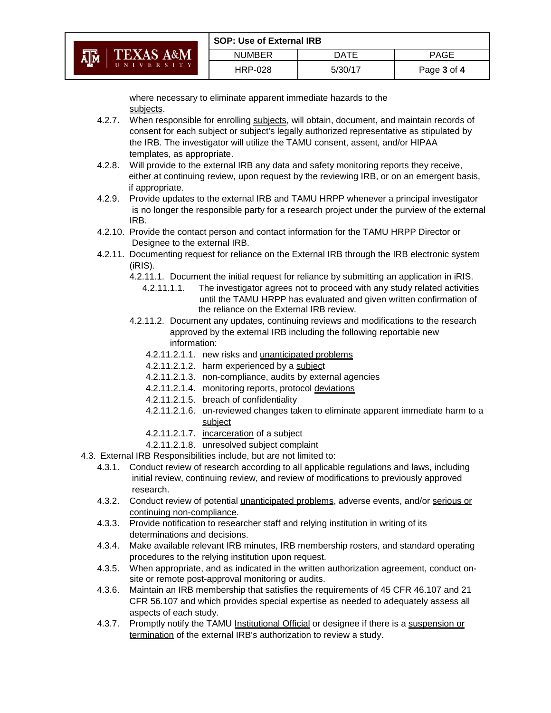|                                               | <b>SOP: Use of External IRB</b> |         |             |
|-----------------------------------------------|---------------------------------|---------|-------------|
| <b>A<sub>IM</sub></b><br><b>TEXAS A&amp;M</b> | <b>NUMBER</b>                   | DATE    | PAGE        |
| UNIVERSITY                                    | <b>HRP-028</b>                  | 5/30/17 | Page 3 of 4 |

where necessary to eliminate apparent immediate hazards to the subjects.

- 4.2.7. When responsible for enrolling subjects, will obtain, document, and maintain records of consent for each subject or subject's legally authorized representative as stipulated by the IRB. The investigator will utilize the TAMU consent, assent, and/or HIPAA templates, as appropriate.
- 4.2.8. Will provide to the external IRB any data and safety monitoring reports they receive, either at continuing review, upon request by the reviewing IRB, or on an emergent basis, if appropriate.
- 4.2.9. Provide updates to the external IRB and TAMU HRPP whenever a principal investigator is no longer the responsible party for a research project under the purview of the external IRB.
- 4.2.10. Provide the contact person and contact information for the TAMU HRPP Director or Designee to the external IRB.
- 4.2.11. Documenting request for reliance on the External IRB through the IRB electronic system (iRIS).
	- 4.2.11.1. Document the initial request for reliance by submitting an application in iRIS.
		- 4.2.11.1.1. The investigator agrees not to proceed with any study related activities until the TAMU HRPP has evaluated and given written confirmation of the reliance on the External IRB review.
	- 4.2.11.2. Document any updates, continuing reviews and modifications to the research approved by the external IRB including the following reportable new information:
		- 4.2.11.2.1.1. new risks and unanticipated problems
		- 4.2.11.2.1.2. harm experienced by a subject
		- 4.2.11.2.1.3. non-compliance, audits by external agencies
		- 4.2.11.2.1.4. monitoring reports, protocol deviations
		- 4.2.11.2.1.5. breach of confidentiality
		- 4.2.11.2.1.6. un-reviewed changes taken to eliminate apparent immediate harm to a subject
		- 4.2.11.2.1.7. incarceration of a subject
	- 4.2.11.2.1.8. unresolved subject complaint
- 4.3. External IRB Responsibilities include, but are not limited to:
	- 4.3.1. Conduct review of research according to all applicable regulations and laws, including initial review, continuing review, and review of modifications to previously approved research.
	- 4.3.2. Conduct review of potential unanticipated problems, adverse events, and/or serious or continuing non-compliance.
	- 4.3.3. Provide notification to researcher staff and relying institution in writing of its determinations and decisions.
	- 4.3.4. Make available relevant IRB minutes, IRB membership rosters, and standard operating procedures to the relying institution upon request.
	- 4.3.5. When appropriate, and as indicated in the written authorization agreement, conduct onsite or remote post-approval monitoring or audits.
	- 4.3.6. Maintain an IRB membership that satisfies the requirements of 45 CFR 46.107 and 21 CFR 56.107 and which provides special expertise as needed to adequately assess all aspects of each study.
	- 4.3.7. Promptly notify the TAMU Institutional Official or designee if there is a suspension or termination of the external IRB's authorization to review a study.